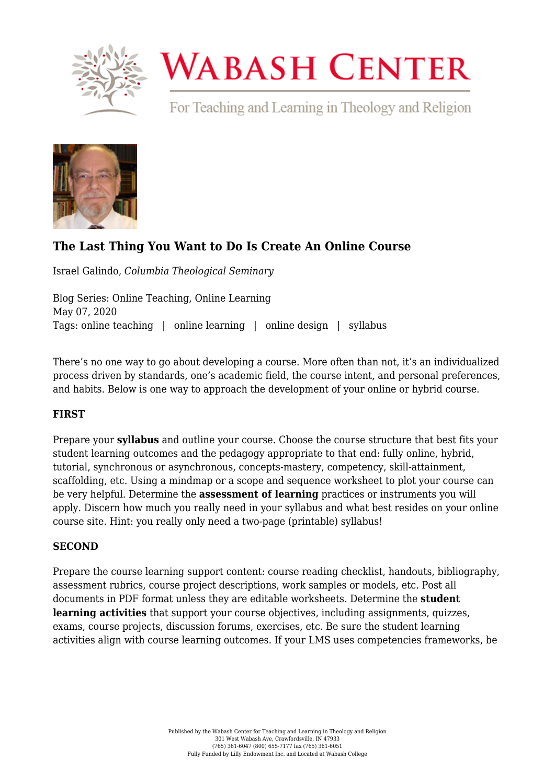

# **WABASH CENTER**

For Teaching and Learning in Theology and Religion



# **[The Last Thing You Want to Do Is Create An Online Course](https://www.wabashcenter.wabash.edu/2020/05/the-last-thing-you-want-to-do-is-create-an-online-course/)**

Israel Galindo, *Columbia Theological Seminary*

Blog Series: Online Teaching, Online Learning May 07, 2020 Tags: online teaching | online learning | online design | syllabus

There's no one way to go about developing a course. More often than not, it's an individualized process driven by standards, one's academic field, the course intent, and personal preferences, and habits. Below is one way to approach the development of your online or hybrid course.

## **FIRST**

Prepare your **syllabus** and outline your course. Choose the course structure that best fits your student learning outcomes and the pedagogy appropriate to that end: fully online, hybrid, tutorial, synchronous or asynchronous, concepts-mastery, competency, skill-attainment, scaffolding, etc. Using a mindmap or a scope and sequence worksheet to plot your course can be very helpful. Determine the **assessment of learning** practices or instruments you will apply. Discern how much you really need in your syllabus and what best resides on your online course site. Hint: you really only need a two-page (printable) syllabus!

## **SECOND**

Prepare the course learning support content: course reading checklist, handouts, bibliography, assessment rubrics, course project descriptions, work samples or models, etc. Post all documents in PDF format unless they are editable worksheets. Determine the **student learning activities** that support your course objectives, including assignments, quizzes, exams, course projects, discussion forums, exercises, etc. Be sure the student learning activities align with course learning outcomes. If your LMS uses competencies frameworks, be